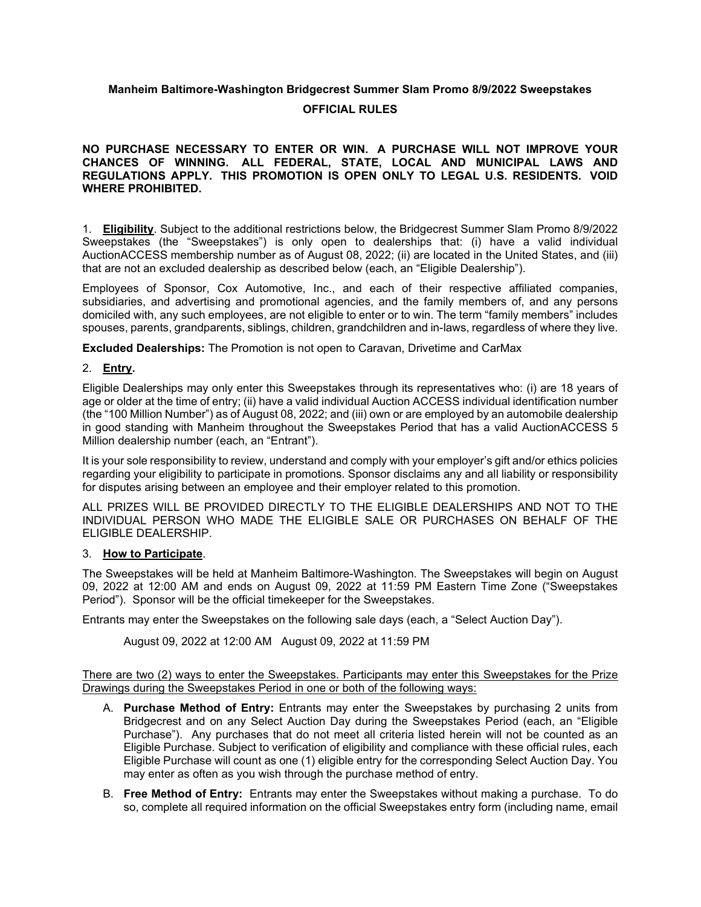# **Manheim Baltimore-Washington Bridgecrest Summer Slam Promo 8/9/2022 Sweepstakes**

## **OFFICIAL RULES**

## **NO PURCHASE NECESSARY TO ENTER OR WIN. A PURCHASE WILL NOT IMPROVE YOUR CHANCES OF WINNING. ALL FEDERAL, STATE, LOCAL AND MUNICIPAL LAWS AND REGULATIONS APPLY. THIS PROMOTION IS OPEN ONLY TO LEGAL U.S. RESIDENTS. VOID WHERE PROHIBITED.**

1. **Eligibility**. Subject to the additional restrictions below, the Bridgecrest Summer Slam Promo 8/9/2022 Sweepstakes (the "Sweepstakes") is only open to dealerships that: (i) have a valid individual AuctionACCESS membership number as of August 08, 2022; (ii) are located in the United States, and (iii) that are not an excluded dealership as described below (each, an "Eligible Dealership").

Employees of Sponsor, Cox Automotive, Inc., and each of their respective affiliated companies, subsidiaries, and advertising and promotional agencies, and the family members of, and any persons domiciled with, any such employees, are not eligible to enter or to win. The term "family members" includes spouses, parents, grandparents, siblings, children, grandchildren and in-laws, regardless of where they live.

**Excluded Dealerships:** The Promotion is not open to Caravan, Drivetime and CarMax

## 2. **Entry.**

Eligible Dealerships may only enter this Sweepstakes through its representatives who: (i) are 18 years of age or older at the time of entry; (ii) have a valid individual Auction ACCESS individual identification number (the "100 Million Number") as of August 08, 2022; and (iii) own or are employed by an automobile dealership in good standing with Manheim throughout the Sweepstakes Period that has a valid AuctionACCESS 5 Million dealership number (each, an "Entrant").

It is your sole responsibility to review, understand and comply with your employer's gift and/or ethics policies regarding your eligibility to participate in promotions. Sponsor disclaims any and all liability or responsibility for disputes arising between an employee and their employer related to this promotion.

ALL PRIZES WILL BE PROVIDED DIRECTLY TO THE ELIGIBLE DEALERSHIPS AND NOT TO THE INDIVIDUAL PERSON WHO MADE THE ELIGIBLE SALE OR PURCHASES ON BEHALF OF THE ELIGIBLE DEALERSHIP.

### 3. **How to Participate**.

The Sweepstakes will be held at Manheim Baltimore-Washington. The Sweepstakes will begin on August 09, 2022 at 12:00 AM and ends on August 09, 2022 at 11:59 PM Eastern Time Zone ("Sweepstakes Period"). Sponsor will be the official timekeeper for the Sweepstakes.

Entrants may enter the Sweepstakes on the following sale days (each, a "Select Auction Day").

August 09, 2022 at 12:00 AM August 09, 2022 at 11:59 PM

There are two (2) ways to enter the Sweepstakes. Participants may enter this Sweepstakes for the Prize Drawings during the Sweepstakes Period in one or both of the following ways:

- A. **Purchase Method of Entry:** Entrants may enter the Sweepstakes by purchasing 2 units from Bridgecrest and on any Select Auction Day during the Sweepstakes Period (each, an "Eligible Purchase"). Any purchases that do not meet all criteria listed herein will not be counted as an Eligible Purchase. Subject to verification of eligibility and compliance with these official rules, each Eligible Purchase will count as one (1) eligible entry for the corresponding Select Auction Day. You may enter as often as you wish through the purchase method of entry.
- B. **Free Method of Entry:** Entrants may enter the Sweepstakes without making a purchase. To do so, complete all required information on the official Sweepstakes entry form (including name, email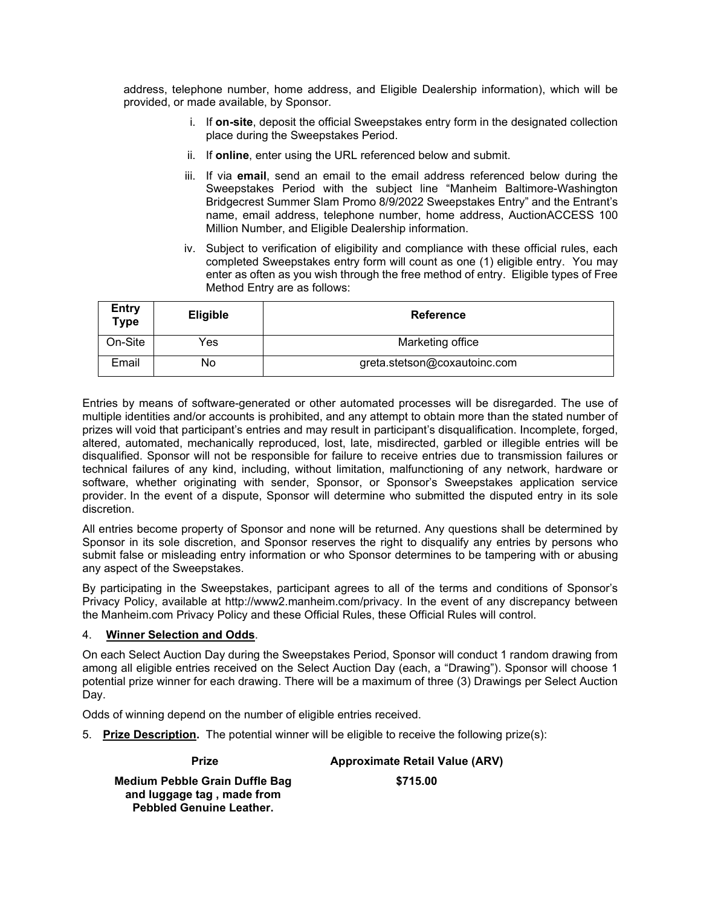address, telephone number, home address, and Eligible Dealership information), which will be provided, or made available, by Sponsor.

- i. If **on-site**, deposit the official Sweepstakes entry form in the designated collection place during the Sweepstakes Period.
- ii. If **online**, enter using the URL referenced below and submit.
- iii. If via **email**, send an email to the email address referenced below during the Sweepstakes Period with the subject line "Manheim Baltimore-Washington Bridgecrest Summer Slam Promo 8/9/2022 Sweepstakes Entry" and the Entrant's name, email address, telephone number, home address, AuctionACCESS 100 Million Number, and Eligible Dealership information.
- iv. Subject to verification of eligibility and compliance with these official rules, each completed Sweepstakes entry form will count as one (1) eligible entry. You may enter as often as you wish through the free method of entry. Eligible types of Free Method Entry are as follows:

| <b>Entry</b><br><b>Type</b> | <b>Eligible</b> | <b>Reference</b>             |
|-----------------------------|-----------------|------------------------------|
| On-Site                     | Yes             | Marketing office             |
| Email                       | No              | greta.stetson@coxautoinc.com |

Entries by means of software-generated or other automated processes will be disregarded. The use of multiple identities and/or accounts is prohibited, and any attempt to obtain more than the stated number of prizes will void that participant's entries and may result in participant's disqualification. Incomplete, forged, altered, automated, mechanically reproduced, lost, late, misdirected, garbled or illegible entries will be disqualified. Sponsor will not be responsible for failure to receive entries due to transmission failures or technical failures of any kind, including, without limitation, malfunctioning of any network, hardware or software, whether originating with sender, Sponsor, or Sponsor's Sweepstakes application service provider. In the event of a dispute, Sponsor will determine who submitted the disputed entry in its sole discretion.

All entries become property of Sponsor and none will be returned. Any questions shall be determined by Sponsor in its sole discretion, and Sponsor reserves the right to disqualify any entries by persons who submit false or misleading entry information or who Sponsor determines to be tampering with or abusing any aspect of the Sweepstakes.

By participating in the Sweepstakes, participant agrees to all of the terms and conditions of Sponsor's Privacy Policy, available at http://www2.manheim.com/privacy. In the event of any discrepancy between the Manheim.com Privacy Policy and these Official Rules, these Official Rules will control.

### 4. **Winner Selection and Odds**.

On each Select Auction Day during the Sweepstakes Period, Sponsor will conduct 1 random drawing from among all eligible entries received on the Select Auction Day (each, a "Drawing"). Sponsor will choose 1 potential prize winner for each drawing. There will be a maximum of three (3) Drawings per Select Auction Day.

Odds of winning depend on the number of eligible entries received.

5. **Prize Description.** The potential winner will be eligible to receive the following prize(s):

**Prize Approximate Retail Value (ARV) Medium Pebble Grain Duffle Bag and luggage tag , made from Pebbled Genuine Leather. \$715.00**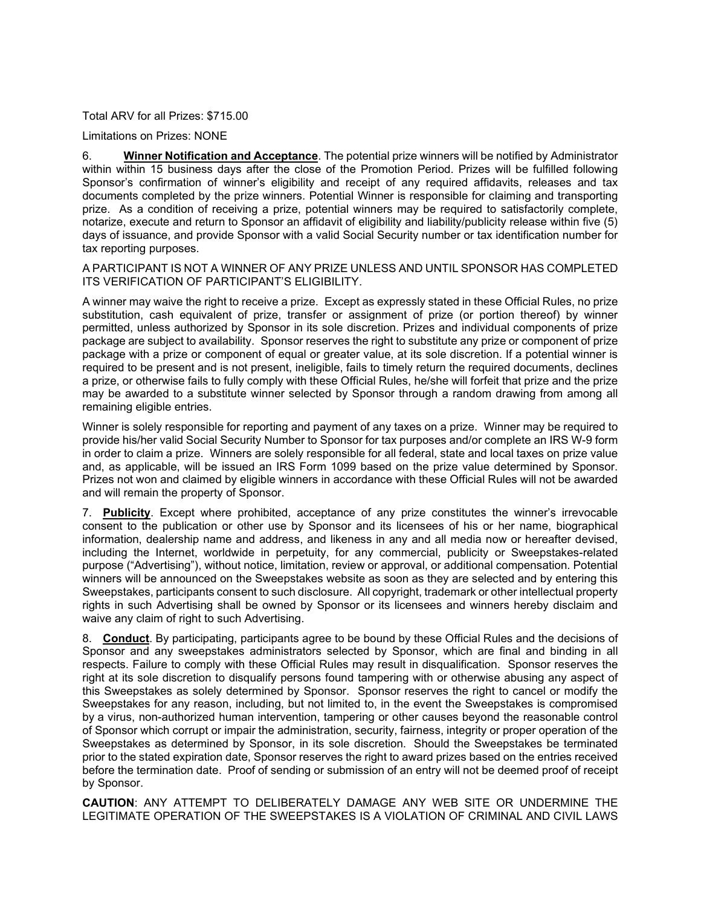Total ARV for all Prizes: \$715.00

Limitations on Prizes: NONE

6. **Winner Notification and Acceptance**. The potential prize winners will be notified by Administrator within within 15 business days after the close of the Promotion Period. Prizes will be fulfilled following Sponsor's confirmation of winner's eligibility and receipt of any required affidavits, releases and tax documents completed by the prize winners. Potential Winner is responsible for claiming and transporting prize. As a condition of receiving a prize, potential winners may be required to satisfactorily complete, notarize, execute and return to Sponsor an affidavit of eligibility and liability/publicity release within five (5) days of issuance, and provide Sponsor with a valid Social Security number or tax identification number for tax reporting purposes.

A PARTICIPANT IS NOT A WINNER OF ANY PRIZE UNLESS AND UNTIL SPONSOR HAS COMPLETED ITS VERIFICATION OF PARTICIPANT'S ELIGIBILITY.

A winner may waive the right to receive a prize. Except as expressly stated in these Official Rules, no prize substitution, cash equivalent of prize, transfer or assignment of prize (or portion thereof) by winner permitted, unless authorized by Sponsor in its sole discretion. Prizes and individual components of prize package are subject to availability. Sponsor reserves the right to substitute any prize or component of prize package with a prize or component of equal or greater value, at its sole discretion. If a potential winner is required to be present and is not present, ineligible, fails to timely return the required documents, declines a prize, or otherwise fails to fully comply with these Official Rules, he/she will forfeit that prize and the prize may be awarded to a substitute winner selected by Sponsor through a random drawing from among all remaining eligible entries.

Winner is solely responsible for reporting and payment of any taxes on a prize. Winner may be required to provide his/her valid Social Security Number to Sponsor for tax purposes and/or complete an IRS W-9 form in order to claim a prize. Winners are solely responsible for all federal, state and local taxes on prize value and, as applicable, will be issued an IRS Form 1099 based on the prize value determined by Sponsor. Prizes not won and claimed by eligible winners in accordance with these Official Rules will not be awarded and will remain the property of Sponsor.

7. **Publicity**. Except where prohibited, acceptance of any prize constitutes the winner's irrevocable consent to the publication or other use by Sponsor and its licensees of his or her name, biographical information, dealership name and address, and likeness in any and all media now or hereafter devised, including the Internet, worldwide in perpetuity, for any commercial, publicity or Sweepstakes-related purpose ("Advertising"), without notice, limitation, review or approval, or additional compensation. Potential winners will be announced on the Sweepstakes website as soon as they are selected and by entering this Sweepstakes, participants consent to such disclosure. All copyright, trademark or other intellectual property rights in such Advertising shall be owned by Sponsor or its licensees and winners hereby disclaim and waive any claim of right to such Advertising.

8. **Conduct**. By participating, participants agree to be bound by these Official Rules and the decisions of Sponsor and any sweepstakes administrators selected by Sponsor, which are final and binding in all respects. Failure to comply with these Official Rules may result in disqualification. Sponsor reserves the right at its sole discretion to disqualify persons found tampering with or otherwise abusing any aspect of this Sweepstakes as solely determined by Sponsor. Sponsor reserves the right to cancel or modify the Sweepstakes for any reason, including, but not limited to, in the event the Sweepstakes is compromised by a virus, non-authorized human intervention, tampering or other causes beyond the reasonable control of Sponsor which corrupt or impair the administration, security, fairness, integrity or proper operation of the Sweepstakes as determined by Sponsor, in its sole discretion. Should the Sweepstakes be terminated prior to the stated expiration date, Sponsor reserves the right to award prizes based on the entries received before the termination date. Proof of sending or submission of an entry will not be deemed proof of receipt by Sponsor.

**CAUTION**: ANY ATTEMPT TO DELIBERATELY DAMAGE ANY WEB SITE OR UNDERMINE THE LEGITIMATE OPERATION OF THE SWEEPSTAKES IS A VIOLATION OF CRIMINAL AND CIVIL LAWS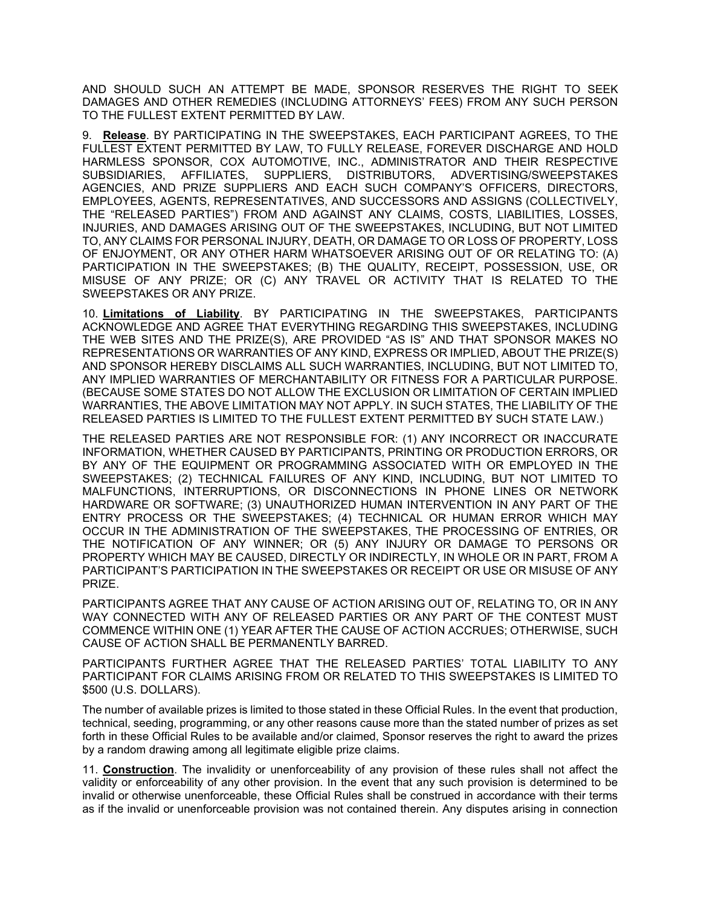AND SHOULD SUCH AN ATTEMPT BE MADE, SPONSOR RESERVES THE RIGHT TO SEEK DAMAGES AND OTHER REMEDIES (INCLUDING ATTORNEYS' FEES) FROM ANY SUCH PERSON TO THE FULLEST EXTENT PERMITTED BY LAW.

9. **Release**. BY PARTICIPATING IN THE SWEEPSTAKES, EACH PARTICIPANT AGREES, TO THE FULLEST EXTENT PERMITTED BY LAW, TO FULLY RELEASE, FOREVER DISCHARGE AND HOLD HARMLESS SPONSOR, COX AUTOMOTIVE, INC., ADMINISTRATOR AND THEIR RESPECTIVE SUBSIDIARIES, AFFILIATES, SUPPLIERS, DISTRIBUTORS, ADVERTISING/SWEEPSTAKES AGENCIES, AND PRIZE SUPPLIERS AND EACH SUCH COMPANY'S OFFICERS, DIRECTORS, EMPLOYEES, AGENTS, REPRESENTATIVES, AND SUCCESSORS AND ASSIGNS (COLLECTIVELY, THE "RELEASED PARTIES") FROM AND AGAINST ANY CLAIMS, COSTS, LIABILITIES, LOSSES, INJURIES, AND DAMAGES ARISING OUT OF THE SWEEPSTAKES, INCLUDING, BUT NOT LIMITED TO, ANY CLAIMS FOR PERSONAL INJURY, DEATH, OR DAMAGE TO OR LOSS OF PROPERTY, LOSS OF ENJOYMENT, OR ANY OTHER HARM WHATSOEVER ARISING OUT OF OR RELATING TO: (A) PARTICIPATION IN THE SWEEPSTAKES; (B) THE QUALITY, RECEIPT, POSSESSION, USE, OR MISUSE OF ANY PRIZE; OR (C) ANY TRAVEL OR ACTIVITY THAT IS RELATED TO THE SWEEPSTAKES OR ANY PRIZE.

10. **Limitations of Liability**. BY PARTICIPATING IN THE SWEEPSTAKES, PARTICIPANTS ACKNOWLEDGE AND AGREE THAT EVERYTHING REGARDING THIS SWEEPSTAKES, INCLUDING THE WEB SITES AND THE PRIZE(S), ARE PROVIDED "AS IS" AND THAT SPONSOR MAKES NO REPRESENTATIONS OR WARRANTIES OF ANY KIND, EXPRESS OR IMPLIED, ABOUT THE PRIZE(S) AND SPONSOR HEREBY DISCLAIMS ALL SUCH WARRANTIES, INCLUDING, BUT NOT LIMITED TO, ANY IMPLIED WARRANTIES OF MERCHANTABILITY OR FITNESS FOR A PARTICULAR PURPOSE. (BECAUSE SOME STATES DO NOT ALLOW THE EXCLUSION OR LIMITATION OF CERTAIN IMPLIED WARRANTIES, THE ABOVE LIMITATION MAY NOT APPLY. IN SUCH STATES, THE LIABILITY OF THE RELEASED PARTIES IS LIMITED TO THE FULLEST EXTENT PERMITTED BY SUCH STATE LAW.)

THE RELEASED PARTIES ARE NOT RESPONSIBLE FOR: (1) ANY INCORRECT OR INACCURATE INFORMATION, WHETHER CAUSED BY PARTICIPANTS, PRINTING OR PRODUCTION ERRORS, OR BY ANY OF THE EQUIPMENT OR PROGRAMMING ASSOCIATED WITH OR EMPLOYED IN THE SWEEPSTAKES; (2) TECHNICAL FAILURES OF ANY KIND, INCLUDING, BUT NOT LIMITED TO MALFUNCTIONS, INTERRUPTIONS, OR DISCONNECTIONS IN PHONE LINES OR NETWORK HARDWARE OR SOFTWARE; (3) UNAUTHORIZED HUMAN INTERVENTION IN ANY PART OF THE ENTRY PROCESS OR THE SWEEPSTAKES; (4) TECHNICAL OR HUMAN ERROR WHICH MAY OCCUR IN THE ADMINISTRATION OF THE SWEEPSTAKES, THE PROCESSING OF ENTRIES, OR THE NOTIFICATION OF ANY WINNER; OR (5) ANY INJURY OR DAMAGE TO PERSONS OR PROPERTY WHICH MAY BE CAUSED, DIRECTLY OR INDIRECTLY, IN WHOLE OR IN PART, FROM A PARTICIPANT'S PARTICIPATION IN THE SWEEPSTAKES OR RECEIPT OR USE OR MISUSE OF ANY PRIZE.

PARTICIPANTS AGREE THAT ANY CAUSE OF ACTION ARISING OUT OF, RELATING TO, OR IN ANY WAY CONNECTED WITH ANY OF RELEASED PARTIES OR ANY PART OF THE CONTEST MUST COMMENCE WITHIN ONE (1) YEAR AFTER THE CAUSE OF ACTION ACCRUES; OTHERWISE, SUCH CAUSE OF ACTION SHALL BE PERMANENTLY BARRED.

PARTICIPANTS FURTHER AGREE THAT THE RELEASED PARTIES' TOTAL LIABILITY TO ANY PARTICIPANT FOR CLAIMS ARISING FROM OR RELATED TO THIS SWEEPSTAKES IS LIMITED TO \$500 (U.S. DOLLARS).

The number of available prizes is limited to those stated in these Official Rules. In the event that production, technical, seeding, programming, or any other reasons cause more than the stated number of prizes as set forth in these Official Rules to be available and/or claimed, Sponsor reserves the right to award the prizes by a random drawing among all legitimate eligible prize claims.

11. **Construction**. The invalidity or unenforceability of any provision of these rules shall not affect the validity or enforceability of any other provision. In the event that any such provision is determined to be invalid or otherwise unenforceable, these Official Rules shall be construed in accordance with their terms as if the invalid or unenforceable provision was not contained therein. Any disputes arising in connection